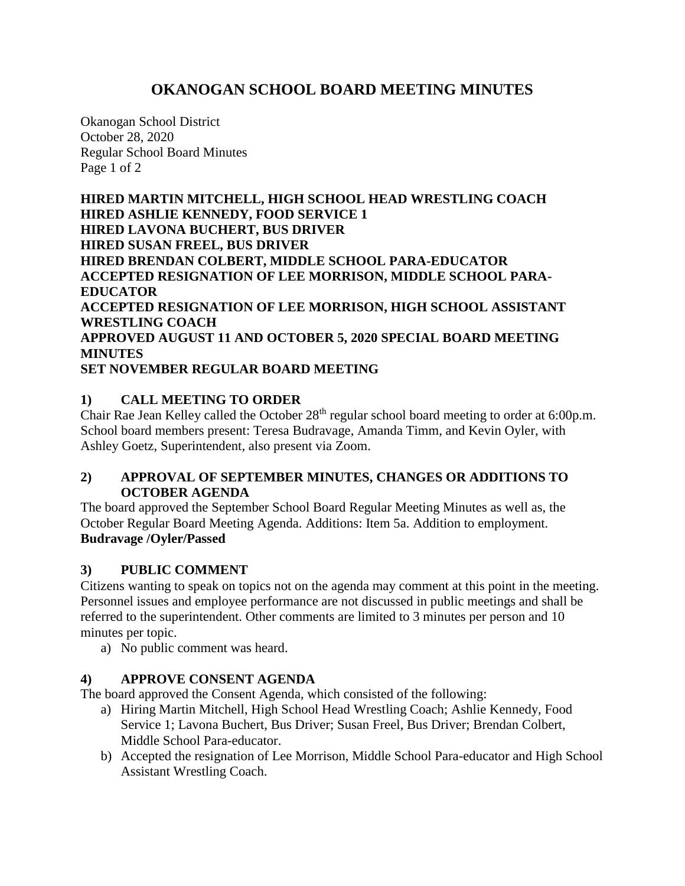# **OKANOGAN SCHOOL BOARD MEETING MINUTES**

Okanogan School District October 28, 2020 Regular School Board Minutes Page 1 of 2

**HIRED MARTIN MITCHELL, HIGH SCHOOL HEAD WRESTLING COACH HIRED ASHLIE KENNEDY, FOOD SERVICE 1 HIRED LAVONA BUCHERT, BUS DRIVER HIRED SUSAN FREEL, BUS DRIVER HIRED BRENDAN COLBERT, MIDDLE SCHOOL PARA-EDUCATOR ACCEPTED RESIGNATION OF LEE MORRISON, MIDDLE SCHOOL PARA-EDUCATOR ACCEPTED RESIGNATION OF LEE MORRISON, HIGH SCHOOL ASSISTANT WRESTLING COACH APPROVED AUGUST 11 AND OCTOBER 5, 2020 SPECIAL BOARD MEETING MINUTES SET NOVEMBER REGULAR BOARD MEETING**

# **1) CALL MEETING TO ORDER**

Chair Rae Jean Kelley called the October 28<sup>th</sup> regular school board meeting to order at 6:00p.m. School board members present: Teresa Budravage, Amanda Timm, and Kevin Oyler, with Ashley Goetz, Superintendent, also present via Zoom.

### **2) APPROVAL OF SEPTEMBER MINUTES, CHANGES OR ADDITIONS TO OCTOBER AGENDA**

The board approved the September School Board Regular Meeting Minutes as well as, the October Regular Board Meeting Agenda. Additions: Item 5a. Addition to employment. **Budravage /Oyler/Passed**

### **3) PUBLIC COMMENT**

Citizens wanting to speak on topics not on the agenda may comment at this point in the meeting. Personnel issues and employee performance are not discussed in public meetings and shall be referred to the superintendent. Other comments are limited to 3 minutes per person and 10 minutes per topic.

a) No public comment was heard.

### **4) APPROVE CONSENT AGENDA**

The board approved the Consent Agenda, which consisted of the following:

- a) Hiring Martin Mitchell, High School Head Wrestling Coach; Ashlie Kennedy, Food Service 1; Lavona Buchert, Bus Driver; Susan Freel, Bus Driver; Brendan Colbert, Middle School Para-educator.
- b) Accepted the resignation of Lee Morrison, Middle School Para-educator and High School Assistant Wrestling Coach.